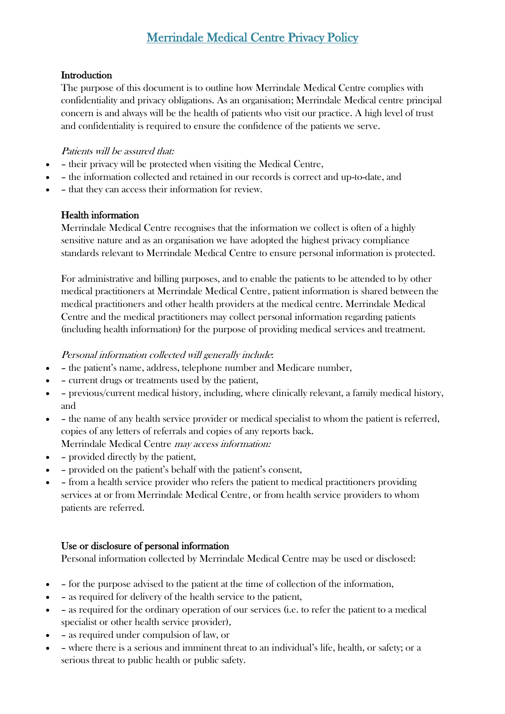# Merrindale Medical Centre Privacy Policy

### **Introduction**

The purpose of this document is to outline how Merrindale Medical Centre complies with confidentiality and privacy obligations. As an organisation; Merrindale Medical centre principal concern is and always will be the health of patients who visit our practice. A high level of trust and confidentiality is required to ensure the confidence of the patients we serve.

#### Patients will be assured that:

- – their privacy will be protected when visiting the Medical Centre,
- – the information collected and retained in our records is correct and up-to-date, and
- – that they can access their information for review.

### Health information

Merrindale Medical Centre recognises that the information we collect is often of a highly sensitive nature and as an organisation we have adopted the highest privacy compliance standards relevant to Merrindale Medical Centre to ensure personal information is protected.

For administrative and billing purposes, and to enable the patients to be attended to by other medical practitioners at Merrindale Medical Centre, patient information is shared between the medical practitioners and other health providers at the medical centre. Merrindale Medical Centre and the medical practitioners may collect personal information regarding patients (including health information) for the purpose of providing medical services and treatment.

### Personal information collected will generally include:

- – the patient's name, address, telephone number and Medicare number.
- – current drugs or treatments used by the patient,
- – previous/current medical history, including, where clinically relevant, a family medical history, and
- – the name of any health service provider or medical specialist to whom the patient is referred, copies of any letters of referrals and copies of any reports back. Merrindale Medical Centre may access information:
- – provided directly by the patient,
- – provided on the patient's behalf with the patient's consent,
- – from a health service provider who refers the patient to medical practitioners providing services at or from Merrindale Medical Centre, or from health service providers to whom patients are referred.

### Use or disclosure of personal information

Personal information collected by Merrindale Medical Centre may be used or disclosed:

- – for the purpose advised to the patient at the time of collection of the information,
- – as required for delivery of the health service to the patient,
- – as required for the ordinary operation of our services (i.e. to refer the patient to a medical specialist or other health service provider),
- – as required under compulsion of law, or
- – where there is a serious and imminent threat to an individual's life, health, or safety; or a serious threat to public health or public safety.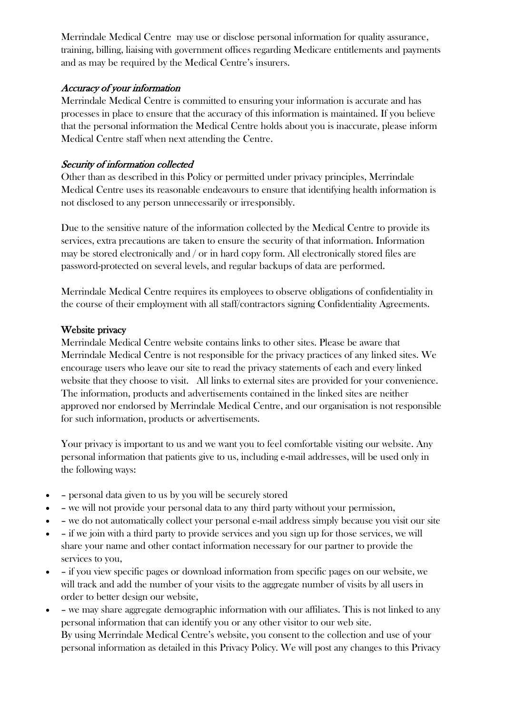Merrindale Medical Centre may use or disclose personal information for quality assurance, training, billing, liaising with government offices regarding Medicare entitlements and payments and as may be required by the Medical Centre's insurers.

# Accuracy of your information

Merrindale Medical Centre is committed to ensuring your information is accurate and has processes in place to ensure that the accuracy of this information is maintained. If you believe that the personal information the Medical Centre holds about you is inaccurate, please inform Medical Centre staff when next attending the Centre.

# Security of information collected

Other than as described in this Policy or permitted under privacy principles, Merrindale Medical Centre uses its reasonable endeavours to ensure that identifying health information is not disclosed to any person unnecessarily or irresponsibly.

Due to the sensitive nature of the information collected by the Medical Centre to provide its services, extra precautions are taken to ensure the security of that information. Information may be stored electronically and / or in hard copy form. All electronically stored files are password-protected on several levels, and regular backups of data are performed.

Merrindale Medical Centre requires its employees to observe obligations of confidentiality in the course of their employment with all staff/contractors signing Confidentiality Agreements.

### Website privacy

Merrindale Medical Centre website contains links to other sites. Please be aware that Merrindale Medical Centre is not responsible for the privacy practices of any linked sites. We encourage users who leave our site to read the privacy statements of each and every linked website that they choose to visit. All links to external sites are provided for your convenience. The information, products and advertisements contained in the linked sites are neither approved nor endorsed by Merrindale Medical Centre, and our organisation is not responsible for such information, products or advertisements.

Your privacy is important to us and we want you to feel comfortable visiting our website. Any personal information that patients give to us, including e-mail addresses, will be used only in the following ways:

- – personal data given to us by you will be securely stored
- – we will not provide your personal data to any third party without your permission,
- – we do not automatically collect your personal e-mail address simply because you visit our site
- – if we join with a third party to provide services and you sign up for those services, we will share your name and other contact information necessary for our partner to provide the services to you,
- – if you view specific pages or download information from specific pages on our website, we will track and add the number of your visits to the aggregate number of visits by all users in order to better design our website,
- – we may share aggregate demographic information with our affiliates. This is not linked to any personal information that can identify you or any other visitor to our web site. By using Merrindale Medical Centre's website, you consent to the collection and use of your personal information as detailed in this Privacy Policy. We will post any changes to this Privacy